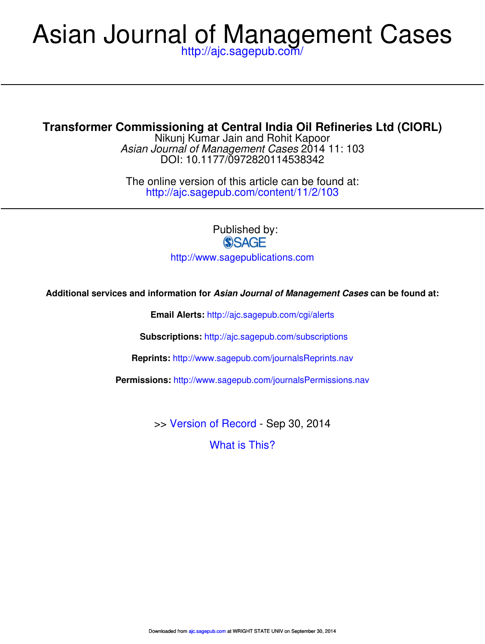# Asian Journal of Management Cases

http://ajc.sagepub.com/

# **Transformer Commissioning at Central India Oil Refineries Ltd (CIORL)**

DOI: 10.1177/0972820114538342 Asian Journal of Management Cases 2014 11: 103 Nikunj Kumar Jain and Rohit Kapoor

http://ajc.sagepub.com/content/11/2/103 The online version of this article can be found at:

> Published by: **SSAGE** http://www.sagepublications.com

**Additional services and information for Asian Journal of Management Cases can be found at:**

**Email Alerts:** http://ajc.sagepub.com/cgi/alerts

**Subscriptions:** http://ajc.sagepub.com/subscriptions

**Reprints:** http://www.sagepub.com/journalsReprints.nav

**Permissions:** http://www.sagepub.com/journalsPermissions.nav

>> Version of Record - Sep 30, 2014

What is This?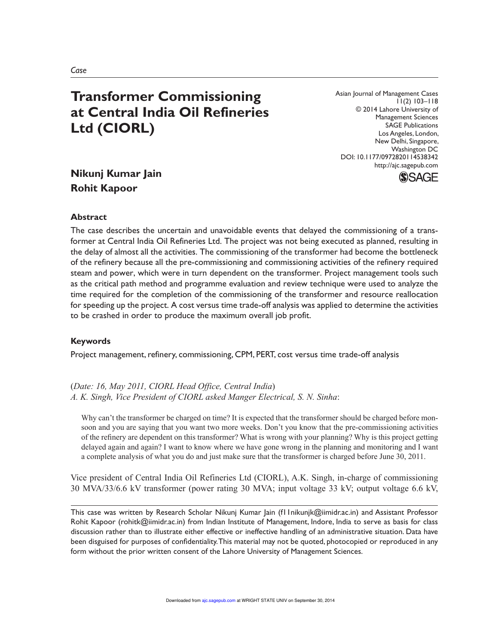# **Transformer Commissioning at Central India Oil Refineries Ltd (CIORL)**

Asian Journal of Management Cases 11(2) 103–118 © 2014 Lahore University of Management Sciences SAGE Publications Los Angeles, London, New Delhi, Singapore, Washington DC DOI: 10.1177/0972820114538342 http://ajc.sagepub.com



# **Nikunj Kumar Jain Rohit Kapoor**

#### **Abstract**

The case describes the uncertain and unavoidable events that delayed the commissioning of a transformer at Central India Oil Refineries Ltd. The project was not being executed as planned, resulting in the delay of almost all the activities. The commissioning of the transformer had become the bottleneck of the refinery because all the pre-commissioning and commissioning activities of the refinery required steam and power, which were in turn dependent on the transformer. Project management tools such as the critical path method and programme evaluation and review technique were used to analyze the time required for the completion of the commissioning of the transformer and resource reallocation for speeding up the project. A cost versus time trade-off analysis was applied to determine the activities to be crashed in order to produce the maximum overall job profit.

#### **Keywords**

Project management, refinery, commissioning, CPM, PERT, cost versus time trade-off analysis

(*Date: 16, May 2011, CIORL Head Office, Central India*) *A. K. Singh, Vice President of CIORL asked Manger Electrical, S. N. Sinha*:

Why can't the transformer be charged on time? It is expected that the transformer should be charged before monsoon and you are saying that you want two more weeks. Don't you know that the pre-commissioning activities of the refinery are dependent on this transformer? What is wrong with your planning? Why is this project getting delayed again and again? I want to know where we have gone wrong in the planning and monitoring and I want a complete analysis of what you do and just make sure that the transformer is charged before June 30, 2011.

Vice president of Central India Oil Refineries Ltd (CIORL), A.K. Singh, in-charge of commissioning 30 MVA/33/6.6 kV transformer (power rating 30 MVA; input voltage 33 kV; output voltage 6.6 kV,

This case was written by Research Scholar Nikunj Kumar Jain (f11nikunjk@iimidr.ac.in) and Assistant Professor Rohit Kapoor (rohitk@iimidr.ac.in) from Indian Institute of Management, Indore, India to serve as basis for class discussion rather than to illustrate either effective or ineffective handling of an administrative situation. Data have been disguised for purposes of confidentiality. This material may not be quoted, photocopied or reproduced in any form without the prior written consent of the Lahore University of Management Sciences.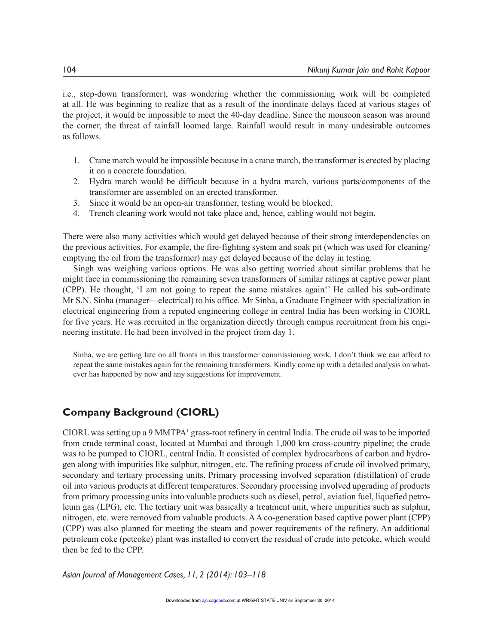i.e., step-down transformer), was wondering whether the commissioning work will be completed at all. He was beginning to realize that as a result of the inordinate delays faced at various stages of the project, it would be impossible to meet the 40-day deadline. Since the monsoon season was around the corner, the threat of rainfall loomed large. Rainfall would result in many undesirable outcomes as follows.

- 1. Crane march would be impossible because in a crane march, the transformer is erected by placing it on a concrete foundation.
- 2. Hydra march would be difficult because in a hydra march, various parts/components of the transformer are assembled on an erected transformer.
- 3. Since it would be an open-air transformer, testing would be blocked.
- 4. Trench cleaning work would not take place and, hence, cabling would not begin.

There were also many activities which would get delayed because of their strong interdependencies on the previous activities. For example, the fire-fighting system and soak pit (which was used for cleaning/ emptying the oil from the transformer) may get delayed because of the delay in testing.

Singh was weighing various options. He was also getting worried about similar problems that he might face in commissioning the remaining seven transformers of similar ratings at captive power plant (CPP). He thought, 'I am not going to repeat the same mistakes again!' He called his sub-ordinate Mr S.N. Sinha (manager—electrical) to his office. Mr Sinha, a Graduate Engineer with specialization in electrical engineering from a reputed engineering college in central India has been working in CIORL for five years. He was recruited in the organization directly through campus recruitment from his engineering institute. He had been involved in the project from day 1.

Sinha, we are getting late on all fronts in this transformer commissioning work. I don't think we can afford to repeat the same mistakes again for the remaining transformers. Kindly come up with a detailed analysis on whatever has happened by now and any suggestions for improvement*.*

# **Company Background (CIORL)**

CIORL was setting up a 9 MMTPA<sup>1</sup> grass-root refinery in central India. The crude oil was to be imported from crude terminal coast, located at Mumbai and through 1,000 km cross-country pipeline; the crude was to be pumped to CIORL, central India. It consisted of complex hydrocarbons of carbon and hydrogen along with impurities like sulphur, nitrogen, etc. The refining process of crude oil involved primary, secondary and tertiary processing units. Primary processing involved separation (distillation) of crude oil into various products at different temperatures. Secondary processing involved upgrading of products from primary processing units into valuable products such as diesel, petrol, aviation fuel, liquefied petroleum gas (LPG), etc. The tertiary unit was basically a treatment unit, where impurities such as sulphur, nitrogen, etc. were removed from valuable products. A A co-generation based captive power plant (CPP) (CPP) was also planned for meeting the steam and power requirements of the refinery. An additional petroleum coke (petcoke) plant was installed to convert the residual of crude into petcoke, which would then be fed to the CPP.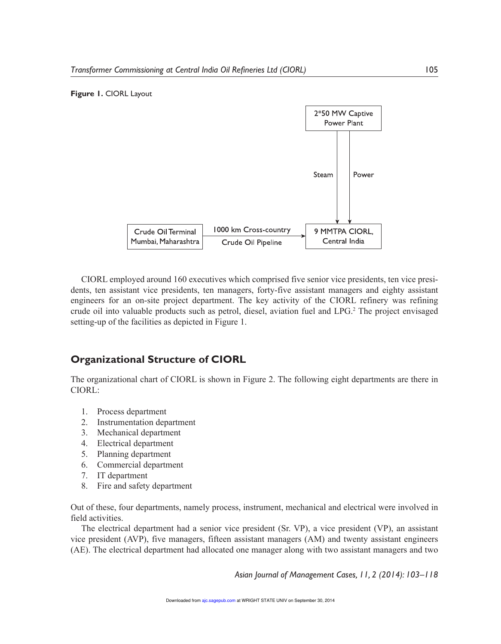#### **Figure 1.** CIORL Layout



CIORL employed around 160 executives which comprised five senior vice presidents, ten vice presidents, ten assistant vice presidents, ten managers, forty-five assistant managers and eighty assistant engineers for an on-site project department. The key activity of the CIORL refinery was refining crude oil into valuable products such as petrol, diesel, aviation fuel and LPG.<sup>2</sup> The project envisaged setting-up of the facilities as depicted in Figure 1.

## **Organizational Structure of CIORL**

The organizational chart of CIORL is shown in Figure 2. The following eight departments are there in CIORL:

- 1. Process department
- 2. Instrumentation department
- 3. Mechanical department
- 4. Electrical department
- 5. Planning department
- 6. Commercial department
- 7. IT department
- 8. Fire and safety department

Out of these, four departments, namely process, instrument, mechanical and electrical were involved in field activities.

The electrical department had a senior vice president (Sr. VP), a vice president (VP), an assistant vice president (AVP), five managers, fifteen assistant managers (AM) and twenty assistant engineers (AE). The electrical department had allocated one manager along with two assistant managers and two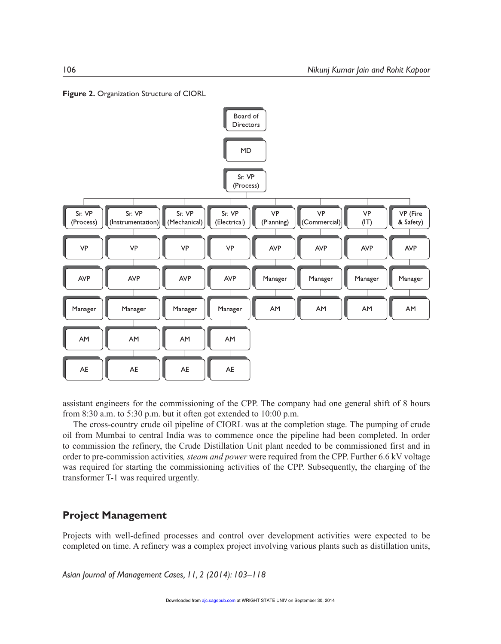



assistant engineers for the commissioning of the CPP. The company had one general shift of 8 hours from 8:30 a.m. to 5:30 p.m. but it often got extended to 10:00 p.m.

The cross-country crude oil pipeline of CIORL was at the completion stage. The pumping of crude oil from Mumbai to central India was to commence once the pipeline had been completed. In order to commission the refinery, the Crude Distillation Unit plant needed to be commissioned first and in order to pre-commission activities*, steam and power* were required from the CPP. Further 6.6 kV voltage was required for starting the commissioning activities of the CPP. Subsequently, the charging of the transformer T-1 was required urgently.

## **Project Management**

Projects with well-defined processes and control over development activities were expected to be completed on time. A refinery was a complex project involving various plants such as distillation units,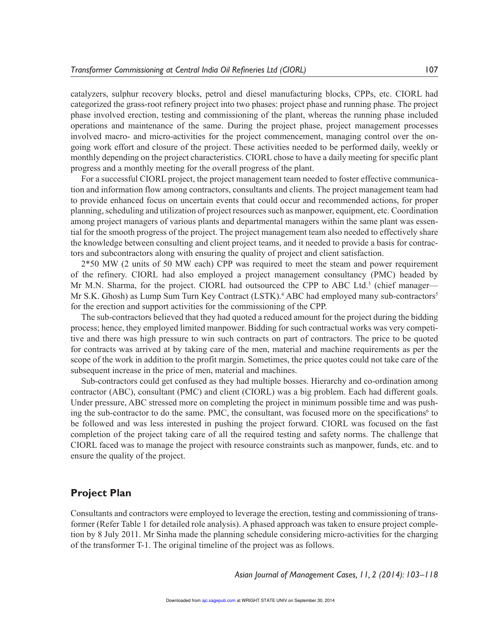catalyzers, sulphur recovery blocks, petrol and diesel manufacturing blocks, CPPs, etc. CIORL had categorized the grass-root refinery project into two phases: project phase and running phase. The project phase involved erection, testing and commissioning of the plant, whereas the running phase included operations and maintenance of the same. During the project phase, project management processes involved macro- and micro-activities for the project commencement, managing control over the ongoing work effort and closure of the project. These activities needed to be performed daily, weekly or monthly depending on the project characteristics. CIORL chose to have a daily meeting for specific plant progress and a monthly meeting for the overall progress of the plant.

For a successful CIORL project, the project management team needed to foster effective communication and information flow among contractors, consultants and clients. The project management team had to provide enhanced focus on uncertain events that could occur and recommended actions, for proper planning, scheduling and utilization of project resources such as manpower, equipment, etc. Coordination among project managers of various plants and departmental managers within the same plant was essential for the smooth progress of the project. The project management team also needed to effectively share the knowledge between consulting and client project teams, and it needed to provide a basis for contractors and subcontractors along with ensuring the quality of project and client satisfaction.

2\*50 MW (2 units of 50 MW each) CPP was required to meet the steam and power requirement of the refinery. CIORL had also employed a project management consultancy (PMC) headed by Mr M.N. Sharma, for the project. CIORL had outsourced the CPP to ABC Ltd.<sup>3</sup> (chief manager— Mr S.K. Ghosh) as Lump Sum Turn Key Contract (LSTK).<sup>4</sup> ABC had employed many sub-contractors<sup>5</sup> for the erection and support activities for the commissioning of the CPP.

The sub-contractors believed that they had quoted a reduced amount for the project during the bidding process; hence, they employed limited manpower. Bidding for such contractual works was very competitive and there was high pressure to win such contracts on part of contractors. The price to be quoted for contracts was arrived at by taking care of the men, material and machine requirements as per the scope of the work in addition to the profit margin. Sometimes, the price quotes could not take care of the subsequent increase in the price of men, material and machines.

Sub-contractors could get confused as they had multiple bosses. Hierarchy and co-ordination among contractor (ABC), consultant (PMC) and client (CIORL) was a big problem. Each had different goals. Under pressure, ABC stressed more on completing the project in minimum possible time and was pushing the sub-contractor to do the same. PMC, the consultant, was focused more on the specifications<sup>6</sup> to be followed and was less interested in pushing the project forward. CIORL was focused on the fast completion of the project taking care of all the required testing and safety norms. The challenge that CIORL faced was to manage the project with resource constraints such as manpower, funds, etc. and to ensure the quality of the project.

### **Project Plan**

Consultants and contractors were employed to leverage the erection, testing and commissioning of transformer (Refer Table 1 for detailed role analysis). A phased approach was taken to ensure project completion by 8 July 2011. Mr Sinha made the planning schedule considering micro-activities for the charging of the transformer T-1. The original timeline of the project was as follows.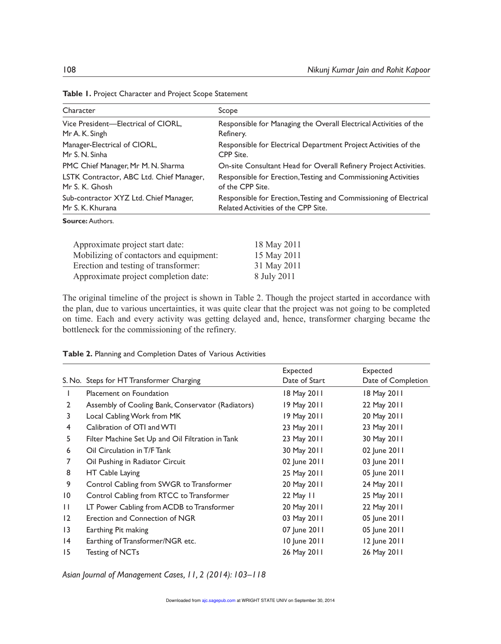| Character                                | Scope                                                             |
|------------------------------------------|-------------------------------------------------------------------|
| Vice President-Electrical of CIORL,      | Responsible for Managing the Overall Electrical Activities of the |
| Mr A. K. Singh                           | Refinery.                                                         |
| Manager-Electrical of CIORL,             | Responsible for Electrical Department Project Activities of the   |
| Mr S. N. Sinha                           | CPP Site.                                                         |
| PMC Chief Manager, Mr M. N. Sharma       | On-site Consultant Head for Overall Refinery Project Activities.  |
| LSTK Contractor, ABC Ltd. Chief Manager, | Responsible for Erection, Testing and Commissioning Activities    |
| Mr S. K. Ghosh                           | of the CPP Site.                                                  |
| Sub-contractor XYZ Ltd. Chief Manager,   | Responsible for Erection, Testing and Commissioning of Electrical |
| Mr S. K. Khurana                         | Related Activities of the CPP Site.                               |

|  |  |  |  |  |  |  | Table 1. Project Character and Project Scope Statement |
|--|--|--|--|--|--|--|--------------------------------------------------------|
|--|--|--|--|--|--|--|--------------------------------------------------------|

| Approximate project start date:         | 18 May 2011 |
|-----------------------------------------|-------------|
| Mobilizing of contactors and equipment: | 15 May 2011 |
| Erection and testing of transformer:    | 31 May 2011 |
| Approximate project completion date:    | 8 July 2011 |

The original timeline of the project is shown in Table 2. Though the project started in accordance with the plan, due to various uncertainties, it was quite clear that the project was not going to be completed on time. Each and every activity was getting delayed and, hence, transformer charging became the bottleneck for the commissioning of the refinery.

|  |  |  |  | Table 2. Planning and Completion Dates of Various Activities |
|--|--|--|--|--------------------------------------------------------------|
|--|--|--|--|--------------------------------------------------------------|

|                 | S. No. Steps for HT Transformer Charging          | Expected<br>Date of Start | Expected<br>Date of Completion |
|-----------------|---------------------------------------------------|---------------------------|--------------------------------|
| $\mathbf{I}$    | Placement on Foundation                           | 18 May 2011               | 18 May 2011                    |
| 2               | Assembly of Cooling Bank, Conservator (Radiators) | 19 May 2011               | 22 May 2011                    |
| 3               | Local Cabling Work from MK                        | 19 May 2011               | 20 May 2011                    |
| 4               | Calibration of OTI and WTI                        | 23 May 2011               | 23 May 2011                    |
| 5               | Filter Machine Set Up and Oil Filtration in Tank  | 23 May 2011               | 30 May 2011                    |
| 6               | Oil Circulation in T/F Tank                       | 30 May 2011               | 02 June 2011                   |
| 7               | Oil Pushing in Radiator Circuit                   | 02 June 2011              | 03 June 2011                   |
| 8               | HT Cable Laying                                   | 25 May 2011               | 05 June 2011                   |
| 9               | Control Cabling from SWGR to Transformer          | 20 May 2011               | 24 May 2011                    |
| $\overline{10}$ | Control Cabling from RTCC to Transformer          | $22$ May $11$             | 25 May 2011                    |
| $\mathbf{H}$    | LT Power Cabling from ACDB to Transformer         | 20 May 2011               | 22 May 2011                    |
| 12              | Erection and Connection of NGR                    | 03 May 2011               | 05 June 2011                   |
| $\overline{13}$ | Earthing Pit making                               | 07 June 2011              | 05 June 2011                   |
| 14              | Earthing of Transformer/NGR etc.                  | 10 June 2011              | 12 June 2011                   |
| 15              | <b>Testing of NCTs</b>                            | 26 May 2011               | 26 May 2011                    |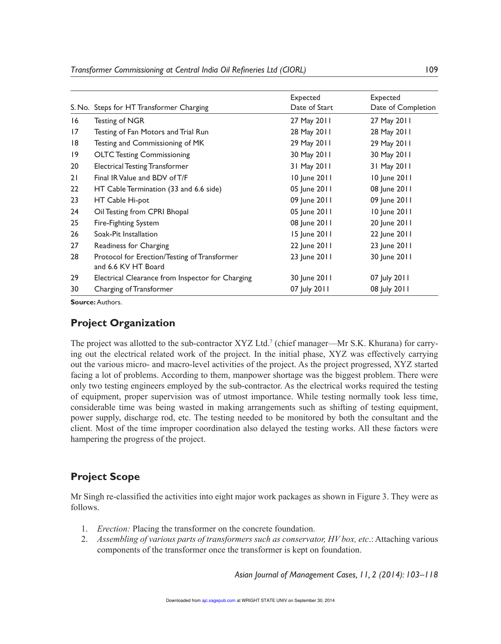|    |                                                                     | Expected      | Expected           |
|----|---------------------------------------------------------------------|---------------|--------------------|
|    | S. No. Steps for HT Transformer Charging                            | Date of Start | Date of Completion |
| 16 | Testing of NGR                                                      | 27 May 2011   | 27 May 2011        |
| 17 | Testing of Fan Motors and Trial Run                                 | 28 May 2011   | 28 May 2011        |
| 18 | Testing and Commissioning of MK                                     | 29 May 2011   | 29 May 2011        |
| 9  | <b>OLTC Testing Commissioning</b>                                   | 30 May 2011   | 30 May 2011        |
| 20 | <b>Electrical Testing Transformer</b>                               | 31 May 2011   | 31 May 2011        |
| 21 | Final IR Value and BDV of T/F                                       | 10 June 2011  | 10 June 2011       |
| 22 | HT Cable Termination (33 and 6.6 side)                              | 05 June 2011  | 08 June 2011       |
| 23 | HT Cable Hi-pot                                                     | 09 June 2011  | 09 June 2011       |
| 24 | Oil Testing from CPRI Bhopal                                        | 05 June 2011  | 10 June 2011       |
| 25 | Fire-Fighting System                                                | 08 June 2011  | 20 June 2011       |
| 26 | Soak-Pit Installation                                               | 15 June 2011  | 22 June 2011       |
| 27 | Readiness for Charging                                              | 22 June 2011  | 23 June 2011       |
| 28 | Protocol for Erection/Testing of Transformer<br>and 6.6 KV HT Board | 23 June 2011  | 30 June 2011       |
| 29 | Electrical Clearance from Inspector for Charging                    | 30 June 2011  | 07 July 2011       |
| 30 | Charging of Transformer                                             | 07 July 2011  | 08 July 2011       |

# **Project Organization**

The project was allotted to the sub-contractor XYZ Ltd.<sup>7</sup> (chief manager—Mr S.K. Khurana) for carrying out the electrical related work of the project. In the initial phase, XYZ was effectively carrying out the various micro- and macro-level activities of the project. As the project progressed, XYZ started facing a lot of problems. According to them, manpower shortage was the biggest problem. There were only two testing engineers employed by the sub-contractor. As the electrical works required the testing of equipment, proper supervision was of utmost importance. While testing normally took less time, considerable time was being wasted in making arrangements such as shifting of testing equipment, power supply, discharge rod, etc. The testing needed to be monitored by both the consultant and the client. Most of the time improper coordination also delayed the testing works. All these factors were hampering the progress of the project.

# **Project Scope**

Mr Singh re-classified the activities into eight major work packages as shown in Figure 3. They were as follows.

- 1. *Erection:* Placing the transformer on the concrete foundation.
- 2. *Assembling of various parts of transformers such as conservator, HV box, etc*.: Attaching various components of the transformer once the transformer is kept on foundation.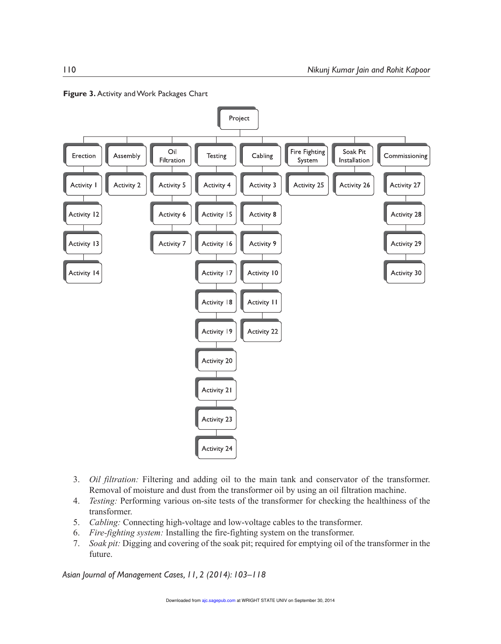

#### **Figure 3.** Activity and Work Packages Chart

- 3. *Oil filtration:* Filtering and adding oil to the main tank and conservator of the transformer. Removal of moisture and dust from the transformer oil by using an oil filtration machine.
- 4. *Testing:* Performing various on-site tests of the transformer for checking the healthiness of the transformer.
- 5. *Cabling:* Connecting high-voltage and low-voltage cables to the transformer.
- 6. *Fire-fighting system:* Installing the fire-fighting system on the transformer.
- 7. *Soak pit:* Digging and covering of the soak pit; required for emptying oil of the transformer in the future.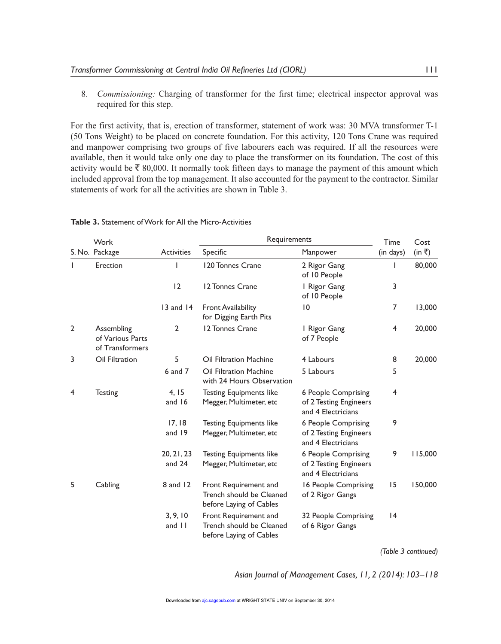8. *Commissioning:* Charging of transformer for the first time; electrical inspector approval was required for this step.

For the first activity, that is, erection of transformer, statement of work was: 30 MVA transformer T-1 (50 Tons Weight) to be placed on concrete foundation. For this activity, 120 Tons Crane was required and manpower comprising two groups of five labourers each was required. If all the resources were available, then it would take only one day to place the transformer on its foundation. The cost of this activity would be  $\bar{\xi}$  80,000. It normally took fifteen days to manage the payment of this amount which included approval from the top management. It also accounted for the payment to the contractor. Similar statements of work for all the activities are shown in Table 3.

|                | Work                                              |                      | Requirements                                                                 |                                                                            |                | Cost    |
|----------------|---------------------------------------------------|----------------------|------------------------------------------------------------------------------|----------------------------------------------------------------------------|----------------|---------|
|                | S. No. Package                                    | <b>Activities</b>    | Specific                                                                     | Manpower                                                                   | (in days)      | (in ₹)  |
|                | Erection                                          |                      | 120 Tonnes Crane                                                             | 2 Rigor Gang<br>of 10 People                                               |                | 80,000  |
|                |                                                   | 12                   | 12 Tonnes Crane                                                              | I Rigor Gang<br>of 10 People                                               | 3              |         |
|                |                                                   | 13 and 14            | <b>Front Availability</b><br>for Digging Earth Pits                          | $\overline{10}$                                                            | $\overline{7}$ | 13,000  |
| $\overline{2}$ | Assembling<br>of Various Parts<br>of Transformers | $\overline{2}$       | 12 Tonnes Crane                                                              | I Rigor Gang<br>of 7 People                                                | $\overline{4}$ | 20,000  |
| 3              | Oil Filtration                                    | 5                    | <b>Oil Filtration Machine</b>                                                | 4 Labours                                                                  | 8              | 20,000  |
|                |                                                   | $6$ and $7$          | <b>Oil Filtration Machine</b><br>with 24 Hours Observation                   | 5 Labours                                                                  | 5              |         |
| 4              | <b>Testing</b>                                    | 4, 15<br>and 16      | <b>Testing Equipments like</b><br>Megger, Multimeter, etc                    | <b>6 People Comprising</b><br>of 2 Testing Engineers<br>and 4 Electricians | 4              |         |
|                |                                                   | 17,18<br>and 19      | <b>Testing Equipments like</b><br>Megger, Multimeter, etc                    | <b>6 People Comprising</b><br>of 2 Testing Engineers<br>and 4 Electricians | 9              |         |
|                |                                                   | 20, 21, 23<br>and 24 | Testing Equipments like<br>Megger, Multimeter, etc                           | <b>6 People Comprising</b><br>of 2 Testing Engineers<br>and 4 Electricians | 9              | 115,000 |
| 5              | Cabling                                           | 8 and 12             | Front Requirement and<br>Trench should be Cleaned<br>before Laying of Cables | 16 People Comprising<br>of 2 Rigor Gangs                                   | 15             | 150,000 |
|                |                                                   | 3, 9, 10<br>and $11$ | Front Requirement and<br>Trench should be Cleaned<br>before Laying of Cables | 32 People Comprising<br>of 6 Rigor Gangs                                   | 4              |         |

**Table 3.** Statement of Work for All the Micro-Activities

*(Table 3 continued)*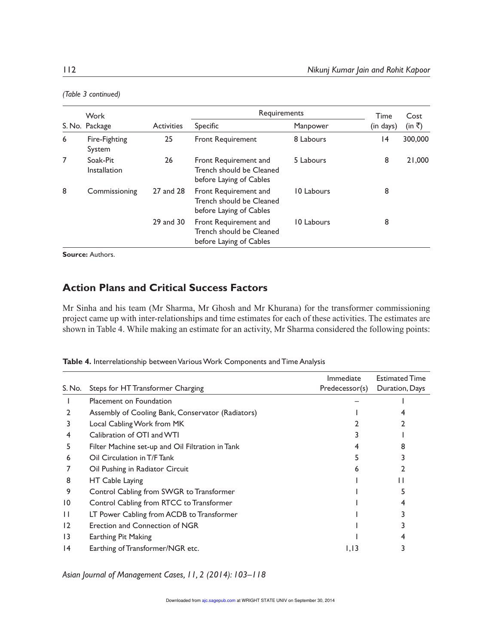|   | Work                     |                   | Requirements                                                                 | Time       | Cost      |         |
|---|--------------------------|-------------------|------------------------------------------------------------------------------|------------|-----------|---------|
|   | S. No. Package           | <b>Activities</b> | Specific                                                                     | Manpower   | (in days) | (in ₹)  |
| 6 | Fire-Fighting<br>System  | 25                | Front Requirement                                                            | 8 Labours  | 4         | 300,000 |
| 7 | Soak-Pit<br>Installation | 26                | Front Requirement and<br>Trench should be Cleaned<br>before Laying of Cables | 5 Labours  | 8         | 21,000  |
| 8 | Commissioning            | 27 and 28         | Front Requirement and<br>Trench should be Cleaned<br>before Laying of Cables | 10 Labours | 8         |         |
|   |                          | 29 and 30         | Front Requirement and<br>Trench should be Cleaned<br>before Laying of Cables | 10 Labours | 8         |         |

*(Table 3 continued)*

**Source:** Authors.

# **Action Plans and Critical Success Factors**

Mr Sinha and his team (Mr Sharma, Mr Ghosh and Mr Khurana) for the transformer commissioning project came up with inter-relationships and time estimates for each of these activities. The estimates are shown in Table 4. While making an estimate for an activity, Mr Sharma considered the following points:

| Table 4. Interrelationship between Various Work Components and Time Analysis |  |  |  |
|------------------------------------------------------------------------------|--|--|--|
|------------------------------------------------------------------------------|--|--|--|

| S. No. | Steps for HT Transformer Charging                 | Immediate<br>Predecessor(s) | <b>Estimated Time</b><br>Duration, Days |
|--------|---------------------------------------------------|-----------------------------|-----------------------------------------|
|        | Placement on Foundation                           |                             |                                         |
|        | Assembly of Cooling Bank, Conservator (Radiators) |                             |                                         |
|        | Local Cabling Work from MK                        |                             |                                         |
|        | Calibration of OTI and WTI                        |                             |                                         |
|        | Filter Machine set-up and Oil Filtration in Tank  |                             |                                         |
| 6      | Oil Circulation in T/F Tank                       |                             |                                         |
|        | Oil Pushing in Radiator Circuit                   |                             |                                         |
| 8      | HT Cable Laying                                   |                             |                                         |
| 9      | Control Cabling from SWGR to Transformer          |                             |                                         |
| 10     | Control Cabling from RTCC to Transformer          |                             |                                         |
| П      | LT Power Cabling from ACDB to Transformer         |                             |                                         |
| 12     | Erection and Connection of NGR                    |                             |                                         |
| 13     | Earthing Pit Making                               |                             |                                         |
| 4      | Earthing of Transformer/NGR etc.                  | I.I3                        |                                         |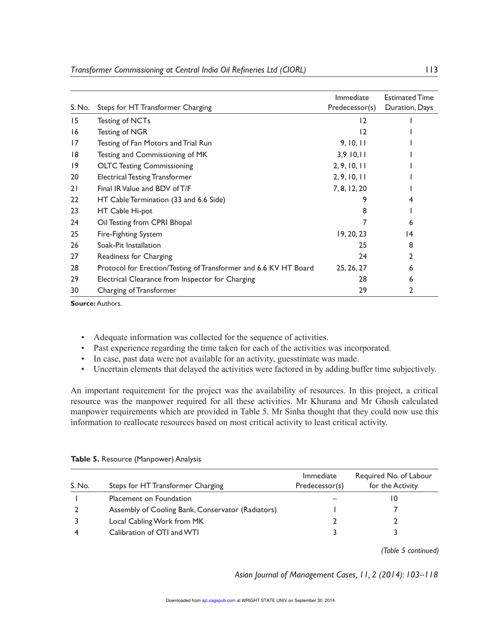| S. No. | Steps for HT Transformer Charging                                | Immediate<br>Predecessor(s) | <b>Estimated Time</b><br>Duration, Days |
|--------|------------------------------------------------------------------|-----------------------------|-----------------------------------------|
| 15     | <b>Testing of NCTs</b>                                           | 12                          |                                         |
| 16     | Testing of NGR                                                   | 12                          |                                         |
| 17     | Testing of Fan Motors and Trial Run                              | 9, 10, 11                   |                                         |
| 18     | Testing and Commissioning of MK                                  | $3,9$ 10,11                 |                                         |
| 19     | <b>OLTC</b> Testing Commissioning                                | 2, 9, 10, 11                |                                         |
| 20     | <b>Electrical Testing Transformer</b>                            | 2, 9, 10, 11                |                                         |
| 21     | Final IR Value and BDV of T/F                                    | 7, 8, 12, 20                |                                         |
| 22     | HT Cable Termination (33 and 6.6 Side)                           | 9                           | 4                                       |
| 23     | HT Cable Hi-pot                                                  | 8                           |                                         |
| 24     | Oil Testing from CPRI Bhopal                                     |                             | 6                                       |
| 25     | Fire-Fighting System                                             | 19, 20, 23                  | 4                                       |
| 26     | Soak-Pit Installation                                            | 25                          | 8                                       |
| 27     | Readiness for Charging                                           | 24                          | 2                                       |
| 28     | Protocol for Erection/Testing of Transformer and 6.6 KV HT Board | 25, 26, 27                  | 6                                       |
| 29     | Electrical Clearance from Inspector for Charging                 | 28                          | 6                                       |
| 30     | Charging of Transformer                                          | 29                          | 2                                       |

- Adequate information was collected for the sequence of activities.
- Past experience regarding the time taken for each of the activities was incorporated.
- In case, past data were not available for an activity, guesstimate was made.
- Uncertain elements that delayed the activities were factored in by adding buffer time subjectively.

An important requirement for the project was the availability of resources. In this project, a critical resource was the manpower required for all these activities. Mr Khurana and Mr Ghosh calculated manpower requirements which are provided in Table 5. Mr Sinha thought that they could now use this information to reallocate resources based on most critical activity to least critical activity.

| S. No. | Steps for HT Transformer Charging                 | Immediate<br>Predecessor(s) | Required No. of Labour<br>for the Activity |
|--------|---------------------------------------------------|-----------------------------|--------------------------------------------|
|        | Placement on Foundation                           |                             |                                            |
|        | Assembly of Cooling Bank, Conservator (Radiators) |                             |                                            |
|        | Local Cabling Work from MK                        |                             |                                            |
|        | Calibration of OTI and WTI                        |                             |                                            |

|  |  |  | Table 5. Resource (Manpower) Analysis |  |
|--|--|--|---------------------------------------|--|
|--|--|--|---------------------------------------|--|

*(Table 5 continued)*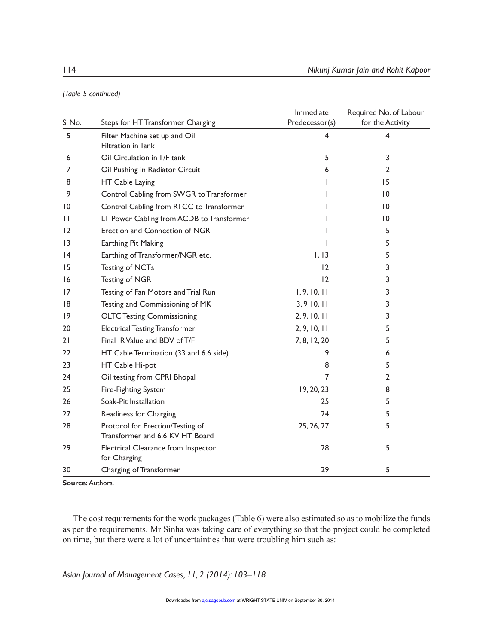|  |  |  |  | (Table 5 continued) |
|--|--|--|--|---------------------|
|--|--|--|--|---------------------|

| S. No.          | Steps for HT Transformer Charging                                   | Immediate<br>Predecessor(s) | Required No. of Labour<br>for the Activity |
|-----------------|---------------------------------------------------------------------|-----------------------------|--------------------------------------------|
| 5               | Filter Machine set up and Oil<br><b>Filtration in Tank</b>          | 4                           | 4                                          |
| 6               | Oil Circulation in T/F tank                                         | 5                           | 3                                          |
| 7               | Oil Pushing in Radiator Circuit                                     | 6                           | $\overline{2}$                             |
| 8               | HT Cable Laying                                                     |                             | 15                                         |
| 9               | Control Cabling from SWGR to Transformer                            |                             | 10                                         |
| 10              | Control Cabling from RTCC to Transformer                            |                             | $\overline{10}$                            |
| П               | LT Power Cabling from ACDB to Transformer                           |                             | $\overline{10}$                            |
| $\overline{12}$ | Erection and Connection of NGR                                      |                             | 5                                          |
| $\overline{13}$ | Earthing Pit Making                                                 |                             | 5                                          |
| 14              | Earthing of Transformer/NGR etc.                                    | 1, 13                       | 5                                          |
| 15              | <b>Testing of NCTs</b>                                              | 12                          | 3                                          |
| 16              | Testing of NGR                                                      | 12                          | 3                                          |
| 17              | Testing of Fan Motors and Trial Run                                 | 1, 9, 10, 11                | 3                                          |
| 18              | Testing and Commissioning of MK                                     | $3, 9$ 10, 11               | 3                                          |
| 19              | <b>OLTC Testing Commissioning</b>                                   | 2, 9, 10, 11                | 3                                          |
| 20              | <b>Electrical Testing Transformer</b>                               | 2, 9, 10, 11                | 5                                          |
| 21              | Final IR Value and BDV of T/F                                       | 7, 8, 12, 20                | 5                                          |
| 22              | HT Cable Termination (33 and 6.6 side)                              | 9                           | 6                                          |
| 23              | HT Cable Hi-pot                                                     | 8                           | 5                                          |
| 24              | Oil testing from CPRI Bhopal                                        | 7                           | $\overline{2}$                             |
| 25              | Fire-Fighting System                                                | 19, 20, 23                  | 8                                          |
| 26              | Soak-Pit Installation                                               | 25                          | 5                                          |
| 27              | Readiness for Charging                                              | 24                          | 5                                          |
| 28              | Protocol for Erection/Testing of<br>Transformer and 6.6 KV HT Board | 25, 26, 27                  | 5                                          |
| 29              | Electrical Clearance from Inspector<br>for Charging                 | 28                          | 5                                          |
| 30              | Charging of Transformer                                             | 29                          | 5                                          |

The cost requirements for the work packages (Table 6) were also estimated so as to mobilize the funds as per the requirements. Mr Sinha was taking care of everything so that the project could be completed on time, but there were a lot of uncertainties that were troubling him such as: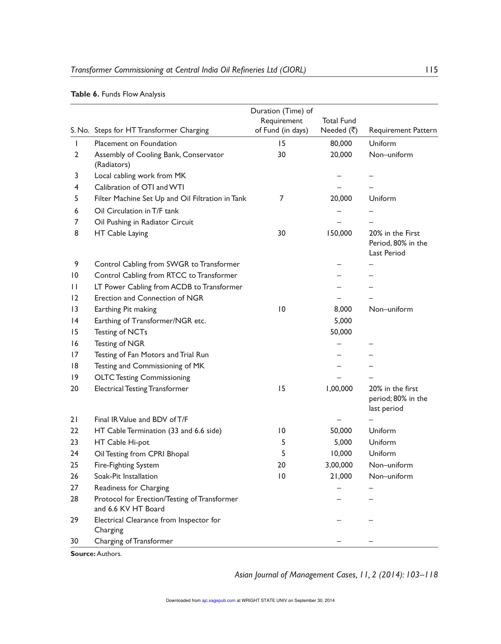|                 |                                                                     | Duration (Time) of<br>Requirement | <b>Total Fund</b>        |                                                       |
|-----------------|---------------------------------------------------------------------|-----------------------------------|--------------------------|-------------------------------------------------------|
|                 | S. No. Steps for HT Transformer Charging                            | of Fund (in days)                 | Needed (₹)               | Requirement Pattern                                   |
| T               | Placement on Foundation                                             | 15                                | 80,000                   | Uniform                                               |
| 2               | Assembly of Cooling Bank, Conservator<br>(Radiators)                | 30                                | 20,000                   | Non-uniform                                           |
| 3               | Local cabling work from MK                                          |                                   |                          |                                                       |
| 4               | Calibration of OTI and WTI                                          |                                   | $=$                      |                                                       |
| 5               | Filter Machine Set Up and Oil Filtration in Tank                    | 7                                 | 20,000                   | Uniform                                               |
| 6               | Oil Circulation in T/F tank                                         |                                   |                          |                                                       |
| 7               | Oil Pushing in Radiator Circuit                                     |                                   |                          |                                                       |
| 8               | HT Cable Laying                                                     | 30                                | 150,000                  | 20% in the First<br>Period, 80% in the<br>Last Period |
| 9               | Control Cabling from SWGR to Transformer                            |                                   |                          |                                                       |
| 10              | Control Cabling from RTCC to Transformer                            |                                   |                          |                                                       |
| $\mathbf{L}$    | LT Power Cabling from ACDB to Transformer                           |                                   | $\overline{\phantom{0}}$ |                                                       |
| 12              | Erection and Connection of NGR                                      |                                   |                          |                                                       |
| 3               | Earthing Pit making                                                 | $\overline{10}$                   | 8,000                    | Non-uniform                                           |
| $\overline{14}$ | Earthing of Transformer/NGR etc.                                    |                                   | 5,000                    |                                                       |
| 15              | <b>Testing of NCTs</b>                                              |                                   | 50,000                   |                                                       |
| 16              | <b>Testing of NGR</b>                                               |                                   | -                        |                                                       |
| 17              | Testing of Fan Motors and Trial Run                                 |                                   |                          |                                                       |
| 18              | Testing and Commissioning of MK                                     |                                   |                          |                                                       |
| 19              | <b>OLTC Testing Commissioning</b>                                   |                                   |                          |                                                       |
| 20              | <b>Electrical Testing Transformer</b>                               | 15                                | 1,00,000                 | 20% in the first<br>period; 80% in the<br>last period |
| 21              | Final IR Value and BDV of T/F                                       |                                   |                          |                                                       |
| 22              | HT Cable Termination (33 and 6.6 side)                              | 10                                | 50,000                   | Uniform                                               |
| 23              | HT Cable Hi-pot                                                     | 5                                 | 5,000                    | Uniform                                               |
| 24              | Oil Testing from CPRI Bhopal                                        | 5                                 | 10,000                   | <b>Uniform</b>                                        |
| 25              | Fire-Fighting System                                                | 20                                | 3,00,000                 | Non-uniform                                           |
| 26              | Soak-Pit Installation                                               | $\overline{10}$                   | 21,000                   | Non-uniform                                           |
| 27              | Readiness for Charging                                              |                                   |                          |                                                       |
| 28              | Protocol for Erection/Testing of Transformer<br>and 6.6 KV HT Board |                                   |                          |                                                       |
| 29              | Electrical Clearance from Inspector for<br>Charging                 |                                   |                          |                                                       |
| 30              | Charging of Transformer                                             |                                   |                          |                                                       |

#### **Table 6.** Funds Flow Analysis

**Source:** Authors.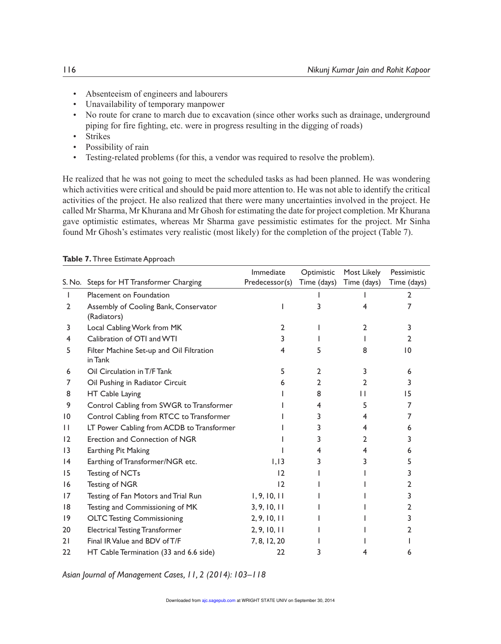- Absenteeism of engineers and labourers
- Unavailability of temporary manpower
- No route for crane to march due to excavation (since other works such as drainage, underground piping for fire fighting, etc. were in progress resulting in the digging of roads)
- Strikes
- Possibility of rain
- Testing-related problems (for this, a vendor was required to resolve the problem).

He realized that he was not going to meet the scheduled tasks as had been planned. He was wondering which activities were critical and should be paid more attention to. He was not able to identify the critical activities of the project. He also realized that there were many uncertainties involved in the project. He called Mr Sharma, Mr Khurana and Mr Ghosh for estimating the date for project completion. Mr Khurana gave optimistic estimates, whereas Mr Sharma gave pessimistic estimates for the project. Mr Sinha found Mr Ghosh's estimates very realistic (most likely) for the completion of the project (Table 7).

|                | S. No. Steps for HT Transformer Charging             | Immediate<br>Predecessor(s) | Optimistic<br>Time (days) | Most Likely<br>Time (days) | Pessimistic<br>Time (days) |
|----------------|------------------------------------------------------|-----------------------------|---------------------------|----------------------------|----------------------------|
| <b>I</b>       | Placement on Foundation                              |                             |                           |                            | $\overline{2}$             |
| 2              | Assembly of Cooling Bank, Conservator<br>(Radiators) |                             |                           | 4                          |                            |
| 3              | Local Cabling Work from MK                           | 2                           |                           | 2                          | 3                          |
| 4              | Calibration of OTI and WTI                           |                             |                           |                            | 2                          |
| 5              | Filter Machine Set-up and Oil Filtration<br>in Tank  | 4                           | 5                         | 8                          | $\overline{10}$            |
| 6              | Oil Circulation in T/F Tank                          | 5                           | $\overline{2}$            | 3                          | 6                          |
| 7              | Oil Pushing in Radiator Circuit                      | 6                           | 2                         | 2                          |                            |
| 8              | HT Cable Laying                                      |                             | 8                         | Ш                          | 15                         |
| 9              | Control Cabling from SWGR to Transformer             |                             | 4                         | 5                          | 7                          |
| $\overline{0}$ | Control Cabling from RTCC to Transformer             |                             | 3                         | 4                          |                            |
| П              | LT Power Cabling from ACDB to Transformer            |                             | 3                         | 4                          | 6                          |
| 12             | Erection and Connection of NGR                       |                             | 3                         | $\mathfrak{D}$             | 3                          |
| 3              | Earthing Pit Making                                  |                             | 4                         | 4                          | 6                          |
| 4              | Earthing of Transformer/NGR etc.                     | 1,13                        |                           |                            | 5                          |
| 15             | Testing of NCTs                                      | 12                          |                           |                            |                            |
| 16             | Testing of NGR                                       | 12                          |                           |                            | 2                          |
| 17             | Testing of Fan Motors and Trial Run                  | 1, 9, 10, 11                |                           |                            |                            |
| 18             | Testing and Commissioning of MK                      | 3, 9, 10, 11                |                           |                            | 2                          |
| 9              | <b>OLTC Testing Commissioning</b>                    | 2, 9, 10, 11                |                           |                            |                            |
| 20             | <b>Electrical Testing Transformer</b>                | 2, 9, 10, 11                |                           |                            | 2                          |
| 21             | Final IR Value and BDV of T/F                        | 7, 8, 12, 20                |                           |                            |                            |
| 22             | HT Cable Termination (33 and 6.6 side)               | 22                          | 3                         | 4                          | 6                          |

#### **Table 7.** Three Estimate Approach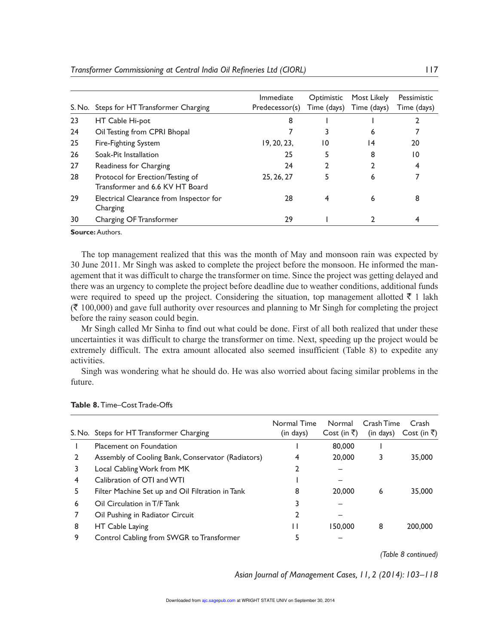|    | S. No. Steps for HT Transformer Charging                            | <b>Immediate</b><br>Predecessor(s) | Optimistic<br>Time (days) | Most Likely<br>Time (days) | Pessimistic<br>Time (days) |
|----|---------------------------------------------------------------------|------------------------------------|---------------------------|----------------------------|----------------------------|
| 23 | HT Cable Hi-pot                                                     | 8                                  |                           |                            |                            |
| 24 | Oil Testing from CPRI Bhopal                                        |                                    | 3                         | 6                          |                            |
| 25 | Fire-Fighting System                                                | 19, 20, 23,                        | 10                        | 14                         | 20                         |
| 26 | Soak-Pit Installation                                               | 25                                 | 5                         | 8                          | 10                         |
| 27 | Readiness for Charging                                              | 24                                 |                           |                            | 4                          |
| 28 | Protocol for Erection/Testing of<br>Transformer and 6.6 KV HT Board | 25, 26, 27                         | 5                         | 6                          |                            |
| 29 | Electrical Clearance from Inspector for<br>Charging                 | 28                                 | 4                         | 6                          | 8                          |
| 30 | Charging OF Transformer                                             | 29                                 |                           |                            | 4                          |

The top management realized that this was the month of May and monsoon rain was expected by 30 June 2011. Mr Singh was asked to complete the project before the monsoon. He informed the management that it was difficult to charge the transformer on time. Since the project was getting delayed and there was an urgency to complete the project before deadline due to weather conditions, additional funds were required to speed up the project. Considering the situation, top management allotted  $\bar{\tau}$  1 lakh  $(\bar{\tau})$  100,000) and gave full authority over resources and planning to Mr Singh for completing the project before the rainy season could begin.

Mr Singh called Mr Sinha to find out what could be done. First of all both realized that under these uncertainties it was difficult to charge the transformer on time. Next, speeding up the project would be extremely difficult. The extra amount allocated also seemed insufficient (Table 8) to expedite any activities.

Singh was wondering what he should do. He was also worried about facing similar problems in the future.

|   | S. No. Steps for HT Transformer Charging          | Normal Time<br>(in days) | Normal<br>Cost (in ₹) | Crash Time | Crash<br>(in days) Cost (in ₹) |
|---|---------------------------------------------------|--------------------------|-----------------------|------------|--------------------------------|
|   | Placement on Foundation                           |                          | 80,000                |            |                                |
| 2 | Assembly of Cooling Bank, Conservator (Radiators) | 4                        | 20,000                | 3          | 35,000                         |
|   | Local Cabling Work from MK                        | 2                        |                       |            |                                |
| 4 | Calibration of OTI and WTI                        |                          |                       |            |                                |
| 5 | Filter Machine Set up and Oil Filtration in Tank  | 8                        | 20,000                | 6          | 35,000                         |
| 6 | Oil Circulation in T/F Tank                       |                          |                       |            |                                |
|   | Oil Pushing in Radiator Circuit                   | 2                        |                       |            |                                |
| 8 | HT Cable Laying                                   | П                        | 150.000               | 8          | 200,000                        |
| 9 | Control Cabling from SWGR to Transformer          |                          |                       |            |                                |

#### **Table 8.** Time–Cost Trade-Offs

*(Table 8 continued)*